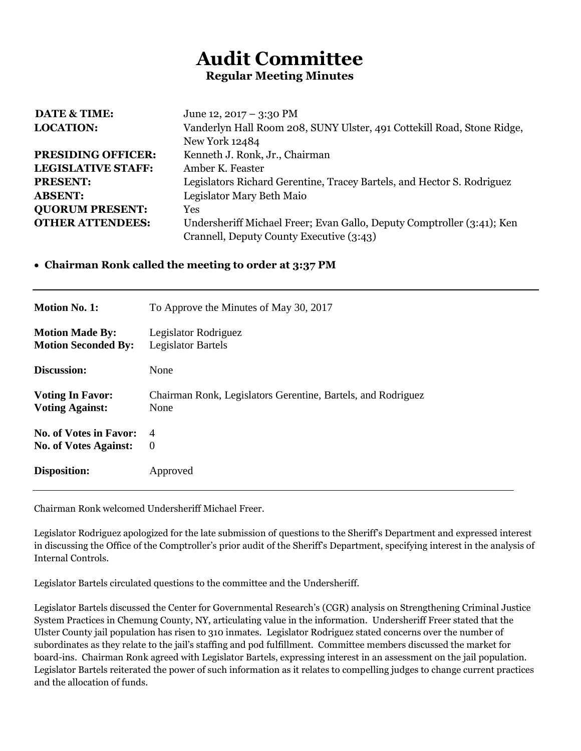## **Audit Committee Regular Meeting Minutes**

| <b>DATE &amp; TIME:</b>   | June 12, 2017 – 3:30 PM                                                |  |  |
|---------------------------|------------------------------------------------------------------------|--|--|
| <b>LOCATION:</b>          | Vanderlyn Hall Room 208, SUNY Ulster, 491 Cottekill Road, Stone Ridge, |  |  |
|                           | <b>New York 12484</b>                                                  |  |  |
| <b>PRESIDING OFFICER:</b> | Kenneth J. Ronk, Jr., Chairman                                         |  |  |
| <b>LEGISLATIVE STAFF:</b> | Amber K. Feaster                                                       |  |  |
| <b>PRESENT:</b>           | Legislators Richard Gerentine, Tracey Bartels, and Hector S. Rodriguez |  |  |
| <b>ABSENT:</b>            | Legislator Mary Beth Maio                                              |  |  |
| <b>QUORUM PRESENT:</b>    | Yes                                                                    |  |  |
| <b>OTHER ATTENDEES:</b>   | Undersheriff Michael Freer; Evan Gallo, Deputy Comptroller (3:41); Ken |  |  |
|                           | Crannell, Deputy County Executive (3:43)                               |  |  |

## **Chairman Ronk called the meeting to order at 3:37 PM**

| <b>Motion No. 1:</b>          | To Approve the Minutes of May 30, 2017                       |  |
|-------------------------------|--------------------------------------------------------------|--|
| <b>Motion Made By:</b>        | Legislator Rodriguez                                         |  |
| <b>Motion Seconded By:</b>    | Legislator Bartels                                           |  |
| Discussion:                   | None                                                         |  |
| <b>Voting In Favor:</b>       | Chairman Ronk, Legislators Gerentine, Bartels, and Rodriguez |  |
| <b>Voting Against:</b>        | None                                                         |  |
| <b>No. of Votes in Favor:</b> | 4                                                            |  |
| <b>No. of Votes Against:</b>  | $\Omega$                                                     |  |
| Disposition:                  | Approved                                                     |  |

Chairman Ronk welcomed Undersheriff Michael Freer.

Legislator Rodriguez apologized for the late submission of questions to the Sheriff's Department and expressed interest in discussing the Office of the Comptroller's prior audit of the Sheriff's Department, specifying interest in the analysis of Internal Controls.

Legislator Bartels circulated questions to the committee and the Undersheriff.

Legislator Bartels discussed the Center for Governmental Research's (CGR) analysis on Strengthening Criminal Justice System Practices in Chemung County, NY, articulating value in the information. Undersheriff Freer stated that the Ulster County jail population has risen to 310 inmates. Legislator Rodriguez stated concerns over the number of subordinates as they relate to the jail's staffing and pod fulfillment. Committee members discussed the market for board-ins. Chairman Ronk agreed with Legislator Bartels, expressing interest in an assessment on the jail population. Legislator Bartels reiterated the power of such information as it relates to compelling judges to change current practices and the allocation of funds.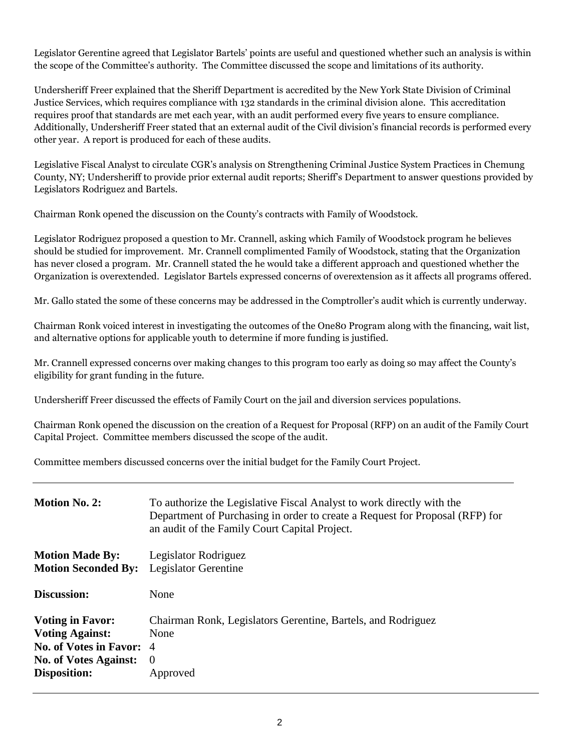Legislator Gerentine agreed that Legislator Bartels' points are useful and questioned whether such an analysis is within the scope of the Committee's authority. The Committee discussed the scope and limitations of its authority.

Undersheriff Freer explained that the Sheriff Department is accredited by the New York State Division of Criminal Justice Services, which requires compliance with 132 standards in the criminal division alone. This accreditation requires proof that standards are met each year, with an audit performed every five years to ensure compliance. Additionally, Undersheriff Freer stated that an external audit of the Civil division's financial records is performed every other year. A report is produced for each of these audits.

Legislative Fiscal Analyst to circulate CGR's analysis on Strengthening Criminal Justice System Practices in Chemung County, NY; Undersheriff to provide prior external audit reports; Sheriff's Department to answer questions provided by Legislators Rodriguez and Bartels.

Chairman Ronk opened the discussion on the County's contracts with Family of Woodstock.

Legislator Rodriguez proposed a question to Mr. Crannell, asking which Family of Woodstock program he believes should be studied for improvement. Mr. Crannell complimented Family of Woodstock, stating that the Organization has never closed a program. Mr. Crannell stated the he would take a different approach and questioned whether the Organization is overextended. Legislator Bartels expressed concerns of overextension as it affects all programs offered.

Mr. Gallo stated the some of these concerns may be addressed in the Comptroller's audit which is currently underway.

Chairman Ronk voiced interest in investigating the outcomes of the One80 Program along with the financing, wait list, and alternative options for applicable youth to determine if more funding is justified.

Mr. Crannell expressed concerns over making changes to this program too early as doing so may affect the County's eligibility for grant funding in the future.

Undersheriff Freer discussed the effects of Family Court on the jail and diversion services populations.

Chairman Ronk opened the discussion on the creation of a Request for Proposal (RFP) on an audit of the Family Court Capital Project. Committee members discussed the scope of the audit.

Committee members discussed concerns over the initial budget for the Family Court Project.

| <b>Motion No. 2:</b>                                                                                                                 | To authorize the Legislative Fiscal Analyst to work directly with the<br>Department of Purchasing in order to create a Request for Proposal (RFP) for<br>an audit of the Family Court Capital Project. |
|--------------------------------------------------------------------------------------------------------------------------------------|--------------------------------------------------------------------------------------------------------------------------------------------------------------------------------------------------------|
| <b>Motion Made By:</b><br><b>Motion Seconded By:</b>                                                                                 | Legislator Rodriguez<br><b>Legislator Gerentine</b>                                                                                                                                                    |
| <b>Discussion:</b>                                                                                                                   | None                                                                                                                                                                                                   |
| <b>Voting in Favor:</b><br><b>Voting Against:</b><br>No. of Votes in Favor: 4<br><b>No. of Votes Against:</b><br><b>Disposition:</b> | Chairman Ronk, Legislators Gerentine, Bartels, and Rodriguez<br>None<br>$\theta$<br>Approved                                                                                                           |